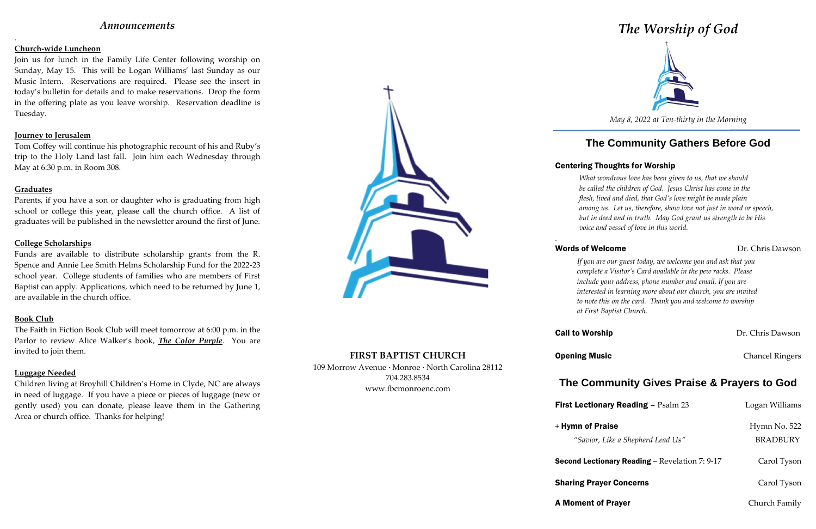## *Announcements*

.

### **Church-wide Luncheon**

Join us for lunch in the Family Life Center following worship on Sunday, May 15. This will be Logan Williams' last Sunday as our Music Intern. Reservations are required. Please see the insert in today's bulletin for details and to make reservations. Drop the form in the offering plate as you leave worship. Reservation deadline is Tuesday.

### **Journey to Jerusalem**

Tom Coffey will continue his photographic recount of his and Ruby's trip to the Holy Land last fall. Join him each Wednesday through May at 6:30 p.m. in Room 308.

### **Graduates**

Parents, if you have a son or daughter who is graduating from high school or college this year, please call the church office. A list of graduates will be published in the newsletter around the first of June.

### **College Scholarships**

Funds are available to distribute scholarship grants from the R. Spence and Annie Lee Smith Helms Scholarship Fund for the 2022-23 school year. College students of families who are members of First Baptist can apply. Applications, which need to be returned by June 1, are available in the church office.

### **Book Club**

The Faith in Fiction Book Club will meet tomorrow at 6:00 p.m. in the Parlor to review Alice Walker's book, *The Color Purple*. You are invited to join them.

### **Luggage Needed**

Children living at Broyhill Children's Home in Clyde, NC are always in need of luggage. If you have a piece or pieces of luggage (new or gently used) you can donate, please leave them in the Gathering Area or church office. Thanks for helping!



## **FIRST BAPTIST CHURCH**

109 Morrow Avenue · Monroe · North Carolina 28112 704.283.8534 www.fbcmonroenc.com

# *The Worship of God*



*May 8, 2022 at Ten-thirty in the Morning*

# **The Community Gathers Before God**

## Centering Thoughts for Worship

## Words of Welcome **Dr.** Chris Dawson

*What wondrous love has been given to us, that we should be called the children of God. Jesus Christ has come in the flesh, lived and died, that God's love might be made plain among us. Let us, therefore, show love not just in word or speech, but in deed and in truth. May God grant us strength to be His voice and vessel of love in this world.*

*.*

**First Lection** 

 $+$  Hymn of P

Second Lection

**Sharing Pray** 

A Moment o

## *If you are our guest today, we welcome you and ask that you complete a Visitor's Card available in the pew racks. Please include your address, phone number and email. If you are interested in learning more about our church, you are invited to note this on the card. Thank you and welcome to worship at First Baptist Church.*

**Call to Worship Call to Worship Dr. Chris Dawson** 

**Opening Music** Chancel Ringers

# **The Community Gives Praise & Prayers to God**

| <b>Lectionary Reading - Psalm 23</b>              | Logan Williams                  |
|---------------------------------------------------|---------------------------------|
| nn of Praise<br>"Savior, Like a Shepherd Lead Us" | Hymn No. 522<br><b>BRADBURY</b> |
| nd Lectionary Reading – Revelation 7: 9-17        | Carol Tyson                     |
| ing Prayer Concerns                               | Carol Tyson                     |
| ment of Prayer                                    | Church Family                   |